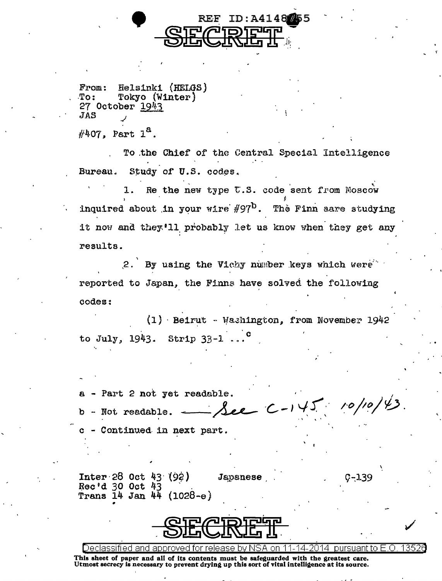$From:$ Helsinki (HELGS) Tokyo (Winter)  $T<sub>O</sub>$ : 27 October 1943 JAS

 $\#407$ , Part  $1^8$ .

To the Chief of the Central Special Intelligence Bureau. Study of U.S. codes.

**REF** 

ID:A4148755

 $1.$ Re the new type U.S. code sent from Moscow inquired about in your wire  $\#97^D$ . The Finn sare studying it now and they'll probably let us know when they get any results.

2. By using the Vichy number keys which were reported to Japan, the Finns have solved the following codes:

 $(1)$  Beirut - Washington, from November 1942 to July, 1943. Strip  $33-1$ 

a - Part 2 not yet readable.  $ee C-145/10/10143$ . b. - Not readable. - Continued in next part.

**Inter 28 Oct 43 (92)** Rec'd 30 Oct 43 Trans  $14$  Jan  $44$  (1028-e)

Japanese

G-139



This sheet of paper and all of its contents must be safeguarded with the greatest care. Utmost secrecy is necessary to prevent drying up this sort of vital intelligence at its source.